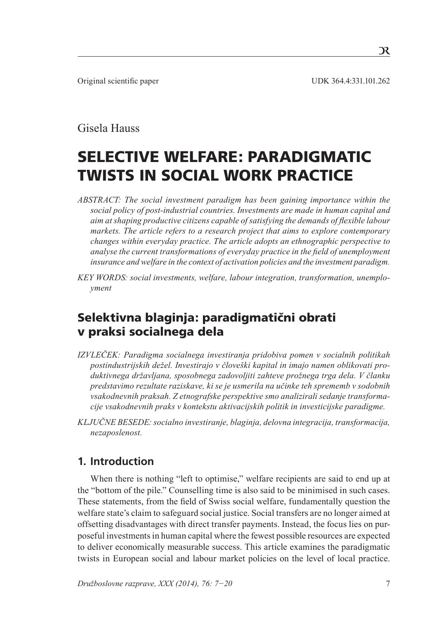Original scientific paper UDK 364.4:331.101.262

## Gisela Hauss

# Selective Welfare: Paradigmatic Twists in Social Work Practice

- *ABSTRACT: The social investment paradigm has been gaining importance within the social policy of post-industrial countries. Investments are made in human capital and aim at shaping productive citizens capable of satisfying the demands of flexible labour markets. The article refers to a research project that aims to explore contemporary changes within everyday practice. The article adopts an ethnographic perspective to analyse the current transformations of everyday practice in the field of unemployment insurance and welfare in the context of activation policies and the investment paradigm.*
- KEY WORDS: social investments, welfare, labour integration, transformation, unemplo*yment*

## Selektivna blaginja: paradigmatični obrati v praksi socialnega dela

- *IZVLEČEK: Paradigma socialnega investiranja pridobiva pomen v socialnih politikah postindustrijskih dežel. Investirajo v človeški kapital in imajo namen oblikovati produktivnega državljana, sposobnega zadovoljiti zahteve prožnega trga dela. V članku predstavimo rezultate raziskave, ki se je usmerila na učinke teh sprememb v sodobnih vsakodnevnih praksah. Z etnografske perspektive smo analizirali sedanje transformacije vsakodnevnih praks v kontekstu aktivacijskih politik in investicijske paradigme.*
- *Ključne besede: socialno investiranje, blaginja, delovna integracija, transformacija, nezaposlenost.*

## **1. Introduction**

When there is nothing "left to optimise," welfare recipients are said to end up at the "bottom of the pile." Counselling time is also said to be minimised in such cases. These statements, from the field of Swiss social welfare, fundamentally question the welfare state's claim to safeguard social justice. Social transfers are no longer aimed at offsetting disadvantages with direct transfer payments. Instead, the focus lies on purposeful investments in human capital where the fewest possible resources are expected to deliver economically measurable success. This article examines the paradigmatic twists in European social and labour market policies on the level of local practice.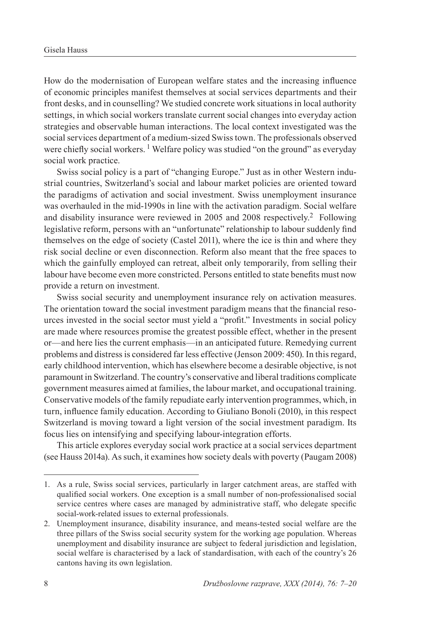How do the modernisation of European welfare states and the increasing influence of economic principles manifest themselves at social services departments and their front desks, and in counselling? We studied concrete work situations in local authority settings, in which social workers translate current social changes into everyday action strategies and observable human interactions. The local context investigated was the social services department of a medium-sized Swiss town. The professionals observed were chiefly social workers.<sup>1</sup> Welfare policy was studied "on the ground" as everyday social work practice.

Swiss social policy is a part of "changing Europe." Just as in other Western industrial countries, Switzerland's social and labour market policies are oriented toward the paradigms of activation and social investment. Swiss unemployment insurance was overhauled in the mid-1990s in line with the activation paradigm. Social welfare and disability insurance were reviewed in 2005 and 2008 respectively.<sup>2</sup> Following legislative reform, persons with an "unfortunate" relationship to labour suddenly find themselves on the edge of society (Castel 2011), where the ice is thin and where they risk social decline or even disconnection. Reform also meant that the free spaces to which the gainfully employed can retreat, albeit only temporarily, from selling their labour have become even more constricted. Persons entitled to state benefits must now provide a return on investment.

Swiss social security and unemployment insurance rely on activation measures. The orientation toward the social investment paradigm means that the financial resources invested in the social sector must yield a "profit." Investments in social policy are made where resources promise the greatest possible effect, whether in the present or—and here lies the current emphasis—in an anticipated future. Remedying current problems and distress is considered far less effective (Jenson 2009: 450). In this regard, early childhood intervention, which has elsewhere become a desirable objective, is not paramount in Switzerland. The country's conservative and liberal traditions complicate government measures aimed at families, the labour market, and occupational training. Conservative models of the family repudiate early intervention programmes, which, in turn, influence family education. According to Giuliano Bonoli (2010), in this respect Switzerland is moving toward a light version of the social investment paradigm. Its focus lies on intensifying and specifying labour-integration efforts.

This article explores everyday social work practice at a social services department (see Hauss 2014a). As such, it examines how society deals with poverty (Paugam 2008)

<sup>1.</sup> As a rule, Swiss social services, particularly in larger catchment areas, are staffed with qualified social workers. One exception is a small number of non-professionalised social service centres where cases are managed by administrative staff, who delegate specific social-work-related issues to external professionals.

<sup>2.</sup> Unemployment insurance, disability insurance, and means-tested social welfare are the three pillars of the Swiss social security system for the working age population. Whereas unemployment and disability insurance are subject to federal jurisdiction and legislation, social welfare is characterised by a lack of standardisation, with each of the country's 26 cantons having its own legislation.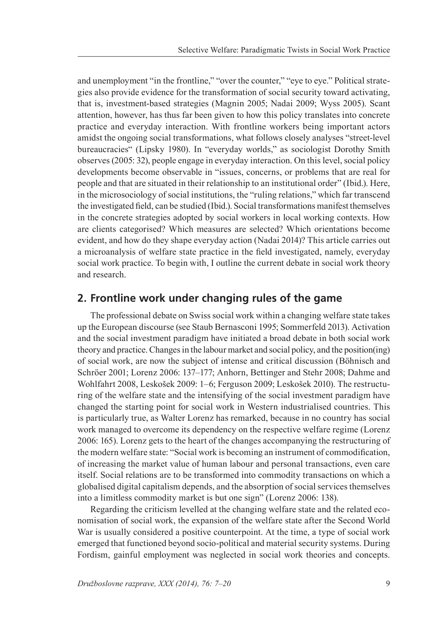and unemployment "in the frontline," "over the counter," "eye to eye." Political strategies also provide evidence for the transformation of social security toward activating, that is, investment-based strategies (Magnin 2005; Nadai 2009; Wyss 2005). Scant attention, however, has thus far been given to how this policy translates into concrete practice and everyday interaction. With frontline workers being important actors amidst the ongoing social transformations, what follows closely analyses "street-level bureaucracies" (Lipsky 1980). In "everyday worlds," as sociologist Dorothy Smith observes (2005: 32), people engage in everyday interaction. On this level, social policy developments become observable in "issues, concerns, or problems that are real for people and that are situated in their relationship to an institutional order" (Ibid.). Here, in the microsociology of social institutions, the "ruling relations," which far transcend the investigated field, can be studied (Ibid.). Social transformations manifest themselves in the concrete strategies adopted by social workers in local working contexts. How are clients categorised? Which measures are selected? Which orientations become evident, and how do they shape everyday action (Nadai 2014)? This article carries out a microanalysis of welfare state practice in the field investigated, namely, everyday social work practice. To begin with, I outline the current debate in social work theory and research.

## **2. Frontline work under changing rules of the game**

The professional debate on Swiss social work within a changing welfare state takes up the European discourse (see Staub Bernasconi 1995; Sommerfeld 2013). Activation and the social investment paradigm have initiated a broad debate in both social work theory and practice. Changes in the labour market and social policy, and the position(ing) of social work, are now the subject of intense and critical discussion (Böhnisch and Schröer 2001; Lorenz 2006: 137–177; Anhorn, Bettinger and Stehr 2008; Dahme and Wohlfahrt 2008, Leskošek 2009: 1–6; Ferguson 2009; Leskošek 2010). The restructuring of the welfare state and the intensifying of the social investment paradigm have changed the starting point for social work in Western industrialised countries. This is particularly true, as Walter Lorenz has remarked, because in no country has social work managed to overcome its dependency on the respective welfare regime (Lorenz 2006: 165). Lorenz gets to the heart of the changes accompanying the restructuring of the modern welfare state: "Social work is becoming an instrument of commodification, of increasing the market value of human labour and personal transactions, even care itself. Social relations are to be transformed into commodity transactions on which a globalised digital capitalism depends, and the absorption of social services themselves into a limitless commodity market is but one sign" (Lorenz 2006: 138).

Regarding the criticism levelled at the changing welfare state and the related economisation of social work, the expansion of the welfare state after the Second World War is usually considered a positive counterpoint. At the time, a type of social work emerged that functioned beyond socio-political and material security systems. During Fordism, gainful employment was neglected in social work theories and concepts.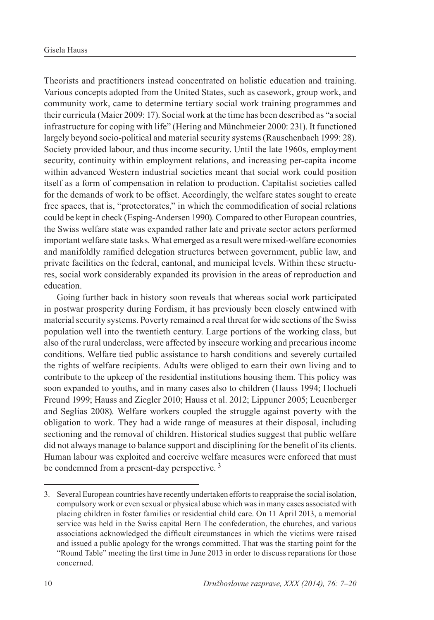Theorists and practitioners instead concentrated on holistic education and training. Various concepts adopted from the United States, such as casework, group work, and community work, came to determine tertiary social work training programmes and their curricula (Maier 2009: 17). Social work at the time has been described as "a social infrastructure for coping with life" (Hering and Münchmeier 2000: 231). It functioned largely beyond socio-political and material security systems (Rauschenbach 1999: 28). Society provided labour, and thus income security. Until the late 1960s, employment security, continuity within employment relations, and increasing per-capita income within advanced Western industrial societies meant that social work could position itself as a form of compensation in relation to production. Capitalist societies called for the demands of work to be offset. Accordingly, the welfare states sought to create free spaces, that is, "protectorates," in which the commodification of social relations could be kept in check (Esping-Andersen 1990). Compared to other European countries, the Swiss welfare state was expanded rather late and private sector actors performed important welfare state tasks. What emerged as a result were mixed-welfare economies and manifoldly ramified delegation structures between government, public law, and private facilities on the federal, cantonal, and municipal levels. Within these structures, social work considerably expanded its provision in the areas of reproduction and education.

Going further back in history soon reveals that whereas social work participated in postwar prosperity during Fordism, it has previously been closely entwined with material security systems. Poverty remained a real threat for wide sections of the Swiss population well into the twentieth century. Large portions of the working class, but also of the rural underclass, were affected by insecure working and precarious income conditions. Welfare tied public assistance to harsh conditions and severely curtailed the rights of welfare recipients. Adults were obliged to earn their own living and to contribute to the upkeep of the residential institutions housing them. This policy was soon expanded to youths, and in many cases also to children (Hauss 1994; Hochueli Freund 1999; Hauss and Ziegler 2010; Hauss et al. 2012; Lippuner 2005; Leuenberger and Seglias 2008). Welfare workers coupled the struggle against poverty with the obligation to work. They had a wide range of measures at their disposal, including sectioning and the removal of children. Historical studies suggest that public welfare did not always manage to balance support and disciplining for the benefit of its clients. Human labour was exploited and coercive welfare measures were enforced that must be condemned from a present-day perspective.<sup>3</sup>

<sup>3.</sup> Several European countries have recently undertaken efforts to reappraise the social isolation, compulsory work or even sexual or physical abuse which was in many cases associated with placing children in foster families or residential child care. On 11 April 2013, a memorial service was held in the Swiss capital Bern The confederation, the churches, and various associations acknowledged the difficult circumstances in which the victims were raised and issued a public apology for the wrongs committed. That was the starting point for the "Round Table" meeting the first time in June 2013 in order to discuss reparations for those concerned.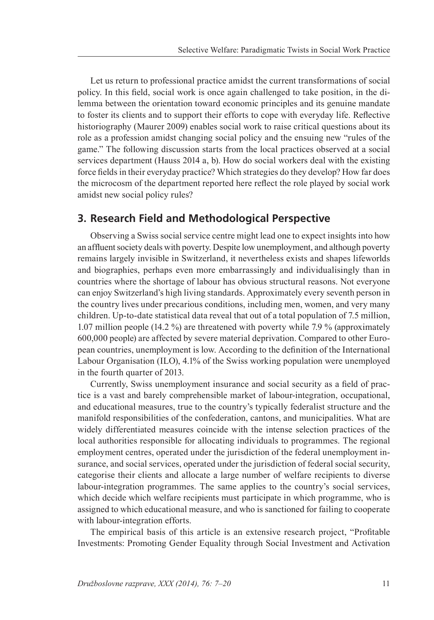Let us return to professional practice amidst the current transformations of social policy. In this field, social work is once again challenged to take position, in the dilemma between the orientation toward economic principles and its genuine mandate to foster its clients and to support their efforts to cope with everyday life. Reflective historiography (Maurer 2009) enables social work to raise critical questions about its role as a profession amidst changing social policy and the ensuing new "rules of the game." The following discussion starts from the local practices observed at a social services department (Hauss 2014 a, b). How do social workers deal with the existing force fields in their everyday practice? Which strategies do they develop? How far does the microcosm of the department reported here reflect the role played by social work amidst new social policy rules?

### **3. Research Field and Methodological Perspective**

Observing a Swiss social service centre might lead one to expect insights into how an affluent society deals with poverty. Despite low unemployment, and although poverty remains largely invisible in Switzerland, it nevertheless exists and shapes lifeworlds and biographies, perhaps even more embarrassingly and individualisingly than in countries where the shortage of labour has obvious structural reasons. Not everyone can enjoy Switzerland's high living standards. Approximately every seventh person in the country lives under precarious conditions, including men, women, and very many children. Up-to-date statistical data reveal that out of a total population of 7.5 million, 1.07 million people (14.2 %) are threatened with poverty while 7.9 % (approximately 600,000 people) are affected by severe material deprivation. Compared to other European countries, unemployment is low. According to the definition of the International Labour Organisation (ILO), 4.1% of the Swiss working population were unemployed in the fourth quarter of 2013.

Currently, Swiss unemployment insurance and social security as a field of practice is a vast and barely comprehensible market of labour-integration, occupational, and educational measures, true to the country's typically federalist structure and the manifold responsibilities of the confederation, cantons, and municipalities. What are widely differentiated measures coincide with the intense selection practices of the local authorities responsible for allocating individuals to programmes. The regional employment centres, operated under the jurisdiction of the federal unemployment insurance, and social services, operated under the jurisdiction of federal social security, categorise their clients and allocate a large number of welfare recipients to diverse labour-integration programmes. The same applies to the country's social services, which decide which welfare recipients must participate in which programme, who is assigned to which educational measure, and who is sanctioned for failing to cooperate with labour-integration efforts.

The empirical basis of this article is an extensive research project, "Profitable Investments: Promoting Gender Equality through Social Investment and Activation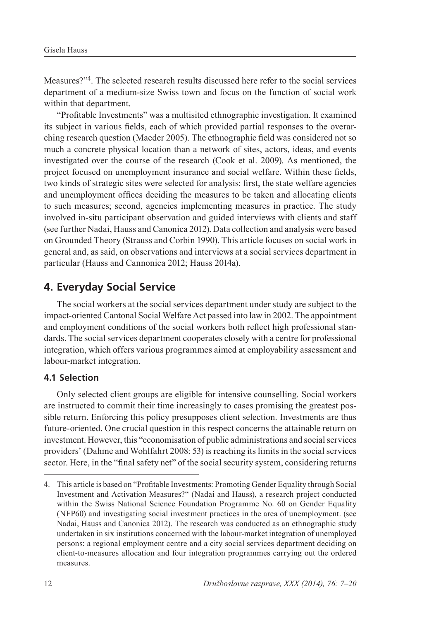Measures?"4. The selected research results discussed here refer to the social services department of a medium-size Swiss town and focus on the function of social work within that department.

"Profitable Investments" was a multisited ethnographic investigation. It examined its subject in various fields, each of which provided partial responses to the overarching research question (Maeder 2005). The ethnographic field was considered not so much a concrete physical location than a network of sites, actors, ideas, and events investigated over the course of the research (Cook et al. 2009). As mentioned, the project focused on unemployment insurance and social welfare. Within these fields, two kinds of strategic sites were selected for analysis: first, the state welfare agencies and unemployment offices deciding the measures to be taken and allocating clients to such measures; second, agencies implementing measures in practice. The study involved in-situ participant observation and guided interviews with clients and staff (see further Nadai, Hauss and Canonica 2012).Data collection and analysis were based on Grounded Theory (Strauss and Corbin 1990). This article focuses on social work in general and, as said, on observations and interviews at a social services department in particular (Hauss and Cannonica 2012; Hauss 2014a).

## **4. Everyday Social Service**

The social workers at the social services department under study are subject to the impact-oriented Cantonal Social Welfare Act passed into law in 2002. The appointment and employment conditions of the social workers both reflect high professional standards. The social services department cooperates closely with a centre for professional integration, which offers various programmes aimed at employability assessment and labour-market integration.

#### **4.1 Selection**

Only selected client groups are eligible for intensive counselling. Social workers are instructed to commit their time increasingly to cases promising the greatest possible return. Enforcing this policy presupposes client selection. Investments are thus future-oriented. One crucial question in this respect concerns the attainable return on investment. However, this "economisation of public administrations and social services providers' (Dahme and Wohlfahrt 2008: 53) is reaching its limits in the social services sector. Here, in the "final safety net" of the social security system, considering returns

<sup>4.</sup> This article is based on "Profitable Investments: Promoting Gender Equality through Social Investment and Activation Measures?" (Nadai and Hauss), a research project conducted within the Swiss National Science Foundation Programme No. 60 on Gender Equality (NFP60) and investigating social investment practices in the area of unemployment. (see Nadai, Hauss and Canonica 2012). The research was conducted as an ethnographic study undertaken in six institutions concerned with the labour-market integration of unemployed persons: a regional employment centre and a city social services department deciding on client-to-measures allocation and four integration programmes carrying out the ordered measures.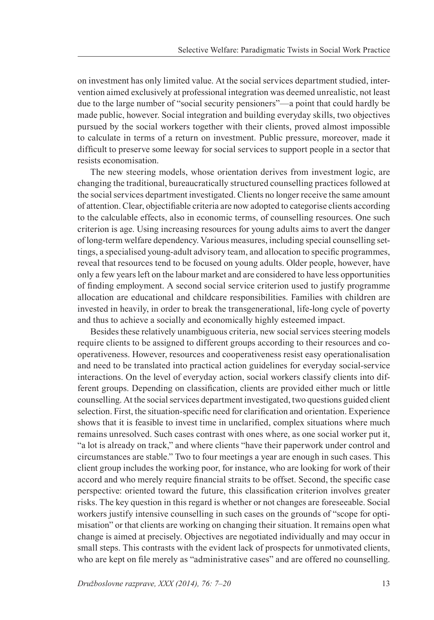on investment has only limited value. At the social services department studied, intervention aimed exclusively at professional integration was deemed unrealistic, not least due to the large number of "social security pensioners"—a point that could hardly be made public, however. Social integration and building everyday skills, two objectives pursued by the social workers together with their clients, proved almost impossible to calculate in terms of a return on investment. Public pressure, moreover, made it difficult to preserve some leeway for social services to support people in a sector that resists economisation.

The new steering models, whose orientation derives from investment logic, are changing the traditional, bureaucratically structured counselling practices followed at the social services department investigated. Clients no longer receive the same amount of attention. Clear, objectifiable criteria are now adopted to categorise clients according to the calculable effects, also in economic terms, of counselling resources. One such criterion is age. Using increasing resources for young adults aims to avert the danger of long-term welfare dependency. Various measures, including special counselling settings, a specialised young-adult advisory team, and allocation to specific programmes, reveal that resources tend to be focused on young adults. Older people, however, have only a few years left on the labour market and are considered to have less opportunities of finding employment. A second social service criterion used to justify programme allocation are educational and childcare responsibilities. Families with children are invested in heavily, in order to break the transgenerational, life-long cycle of poverty and thus to achieve a socially and economically highly esteemed impact.

Besides these relatively unambiguous criteria, new social services steering models require clients to be assigned to different groups according to their resources and cooperativeness. However, resources and cooperativeness resist easy operationalisation and need to be translated into practical action guidelines for everyday social-service interactions. On the level of everyday action, social workers classify clients into different groups. Depending on classification, clients are provided either much or little counselling. At the social services department investigated, two questions guided client selection. First, the situation-specific need for clarification and orientation. Experience shows that it is feasible to invest time in unclarified, complex situations where much remains unresolved. Such cases contrast with ones where, as one social worker put it, "a lot is already on track," and where clients "have their paperwork under control and circumstances are stable." Two to four meetings a year are enough in such cases. This client group includes the working poor, for instance, who are looking for work of their accord and who merely require financial straits to be offset. Second, the specific case perspective: oriented toward the future, this classification criterion involves greater risks. The key question in this regard is whether or not changes are foreseeable. Social workers justify intensive counselling in such cases on the grounds of "scope for optimisation" or that clients are working on changing their situation. It remains open what change is aimed at precisely. Objectives are negotiated individually and may occur in small steps. This contrasts with the evident lack of prospects for unmotivated clients, who are kept on file merely as "administrative cases" and are offered no counselling.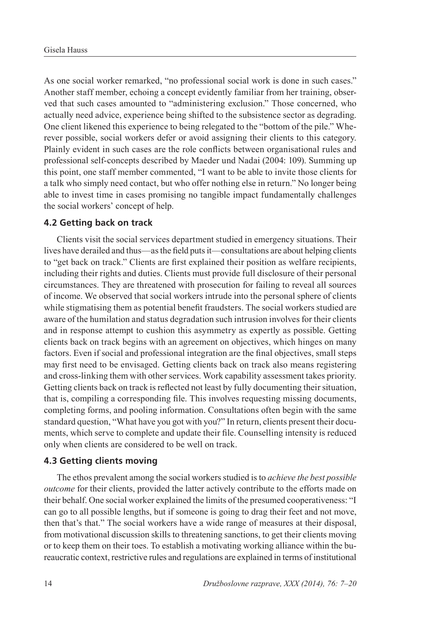As one social worker remarked, "no professional social work is done in such cases." Another staff member, echoing a concept evidently familiar from her training, observed that such cases amounted to "administering exclusion." Those concerned, who actually need advice, experience being shifted to the subsistence sector as degrading. One client likened this experience to being relegated to the "bottom of the pile." Wherever possible, social workers defer or avoid assigning their clients to this category. Plainly evident in such cases are the role conflicts between organisational rules and professional self-concepts described by Maeder und Nadai (2004: 109). Summing up this point, one staff member commented, "I want to be able to invite those clients for a talk who simply need contact, but who offer nothing else in return." No longer being able to invest time in cases promising no tangible impact fundamentally challenges the social workers' concept of help.

#### **4.2 Getting back on track**

Clients visit the social services department studied in emergency situations. Their lives have derailed and thus—as the field puts it—consultations are about helping clients to "get back on track." Clients are first explained their position as welfare recipients, including their rights and duties. Clients must provide full disclosure of their personal circumstances. They are threatened with prosecution for failing to reveal all sources of income. We observed that social workers intrude into the personal sphere of clients while stigmatising them as potential benefit fraudsters. The social workers studied are aware of the humilation and status degradation such intrusion involves for their clients and in response attempt to cushion this asymmetry as expertly as possible. Getting clients back on track begins with an agreement on objectives, which hinges on many factors. Even if social and professional integration are the final objectives, small steps may first need to be envisaged. Getting clients back on track also means registering and cross-linking them with other services. Work capability assessment takes priority. Getting clients back on track is reflected not least by fully documenting their situation, that is, compiling a corresponding file. This involves requesting missing documents, completing forms, and pooling information. Consultations often begin with the same standard question, "What have you got with you?" In return, clients present their documents, which serve to complete and update their file. Counselling intensity is reduced only when clients are considered to be well on track.

#### **4.3 Getting clients moving**

The ethos prevalent among the social workers studied is to *achieve the best possible outcome* for their clients, provided the latter actively contribute to the efforts made on their behalf. One social worker explained the limits of the presumed cooperativeness: "I can go to all possible lengths, but if someone is going to drag their feet and not move, then that's that." The social workers have a wide range of measures at their disposal, from motivational discussion skills to threatening sanctions, to get their clients moving or to keep them on their toes. To establish a motivating working alliance within the bureaucratic context, restrictive rules and regulations are explained in terms of institutional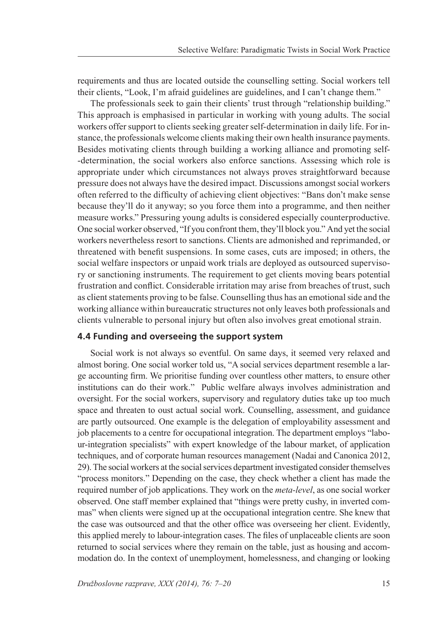requirements and thus are located outside the counselling setting. Social workers tell their clients, "Look, I'm afraid guidelines are guidelines, and I can't change them."

The professionals seek to gain their clients' trust through "relationship building." This approach is emphasised in particular in working with young adults. The social workers offer support to clients seeking greater self-determination in daily life. For instance, the professionals welcome clients making their own health insurance payments. Besides motivating clients through building a working alliance and promoting self- -determination, the social workers also enforce sanctions. Assessing which role is appropriate under which circumstances not always proves straightforward because pressure does not always have the desired impact. Discussions amongst social workers often referred to the difficulty of achieving client objectives: "Bans don't make sense because they'll do it anyway; so you force them into a programme, and then neither measure works." Pressuring young adults is considered especially counterproductive. One social worker observed, "If you confront them, they'll block you." And yet the social workers nevertheless resort to sanctions. Clients are admonished and reprimanded, or threatened with benefit suspensions. In some cases, cuts are imposed; in others, the social welfare inspectors or unpaid work trials are deployed as outsourced supervisory or sanctioning instruments. The requirement to get clients moving bears potential frustration and conflict. Considerable irritation may arise from breaches of trust, such as client statements proving to be false. Counselling thus has an emotional side and the working alliance within bureaucratic structures not only leaves both professionals and clients vulnerable to personal injury but often also involves great emotional strain.

#### **4.4 Funding and overseeing the support system**

Social work is not always so eventful. On same days, it seemed very relaxed and almost boring. One social worker told us, "A social services department resemble a large accounting firm. We prioritise funding over countless other matters, to ensure other institutions can do their work." Public welfare always involves administration and oversight. For the social workers, supervisory and regulatory duties take up too much space and threaten to oust actual social work. Counselling, assessment, and guidance are partly outsourced. One example is the delegation of employability assessment and job placements to a centre for occupational integration. The department employs "labour-integration specialists" with expert knowledge of the labour market, of application techniques, and of corporate human resources management (Nadai and Canonica 2012, 29). The social workers at the social services department investigated consider themselves "process monitors." Depending on the case, they check whether a client has made the required number of job applications. They work on the *meta-level*, as one social worker observed. One staff member explained that "things were pretty cushy, in inverted commas" when clients were signed up at the occupational integration centre. She knew that the case was outsourced and that the other office was overseeing her client. Evidently, this applied merely to labour-integration cases. The files of unplaceable clients are soon returned to social services where they remain on the table, just as housing and accommodation do. In the context of unemployment, homelessness, and changing or looking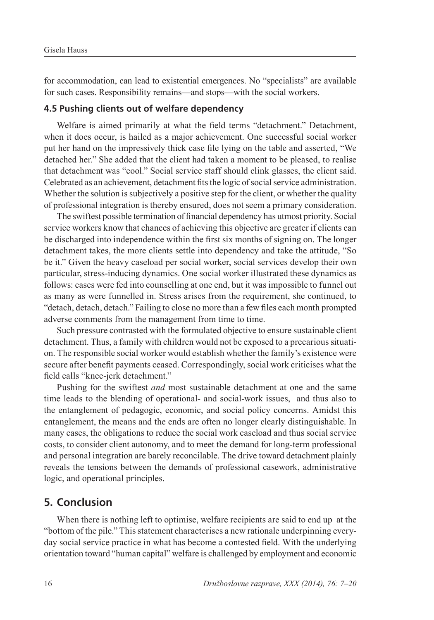for accommodation, can lead to existential emergences. No "specialists" are available for such cases. Responsibility remains—and stops—with the social workers.

#### **4.5 Pushing clients out of welfare dependency**

Welfare is aimed primarily at what the field terms "detachment." Detachment, when it does occur, is hailed as a major achievement. One successful social worker put her hand on the impressively thick case file lying on the table and asserted, "We detached her." She added that the client had taken a moment to be pleased, to realise that detachment was "cool." Social service staff should clink glasses, the client said. Celebrated as an achievement, detachment fits the logic of social service administration. Whether the solution is subjectively a positive step for the client, or whether the quality of professional integration is thereby ensured, does not seem a primary consideration.

The swiftest possible termination of financial dependency has utmost priority. Social service workers know that chances of achieving this objective are greater if clients can be discharged into independence within the first six months of signing on. The longer detachment takes, the more clients settle into dependency and take the attitude, "So be it." Given the heavy caseload per social worker, social services develop their own particular, stress-inducing dynamics. One social worker illustrated these dynamics as follows: cases were fed into counselling at one end, but it was impossible to funnel out as many as were funnelled in. Stress arises from the requirement, she continued, to "detach, detach, detach." Failing to close no more than a few files each month prompted adverse comments from the management from time to time.

Such pressure contrasted with the formulated objective to ensure sustainable client detachment. Thus, a family with children would not be exposed to a precarious situation. The responsible social worker would establish whether the family's existence were secure after benefit payments ceased. Correspondingly, social work criticises what the field calls "knee-jerk detachment."

Pushing for the swiftest *and* most sustainable detachment at one and the same time leads to the blending of operational- and social-work issues, and thus also to the entanglement of pedagogic, economic, and social policy concerns. Amidst this entanglement, the means and the ends are often no longer clearly distinguishable. In many cases, the obligations to reduce the social work caseload and thus social service costs, to consider client autonomy, and to meet the demand for long-term professional and personal integration are barely reconcilable. The drive toward detachment plainly reveals the tensions between the demands of professional casework, administrative logic, and operational principles.

## **5. Conclusion**

When there is nothing left to optimise, welfare recipients are said to end up at the "bottom of the pile." This statement characterises a new rationale underpinning everyday social service practice in what has become a contested field. With the underlying orientation toward "human capital" welfare is challenged by employment and economic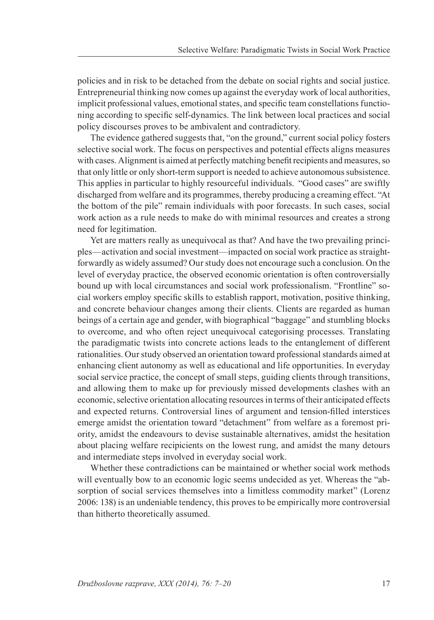policies and in risk to be detached from the debate on social rights and social justice. Entrepreneurial thinking now comes up against the everyday work of local authorities, implicit professional values, emotional states, and specific team constellations functioning according to specific self-dynamics. The link between local practices and social policy discourses proves to be ambivalent and contradictory.

The evidence gathered suggests that, "on the ground," current social policy fosters selective social work. The focus on perspectives and potential effects aligns measures with cases. Alignment is aimed at perfectly matching benefit recipients and measures, so that only little or only short-term support is needed to achieve autonomous subsistence. This applies in particular to highly resourceful individuals. "Good cases" are swiftly discharged from welfare and its programmes, thereby producing a creaming effect. "At the bottom of the pile" remain individuals with poor forecasts. In such cases, social work action as a rule needs to make do with minimal resources and creates a strong need for legitimation.

Yet are matters really as unequivocal as that? And have the two prevailing principles—activation and social investment—impacted on social work practice as straightforwardly as widely assumed? Our study does not encourage such a conclusion. On the level of everyday practice, the observed economic orientation is often controversially bound up with local circumstances and social work professionalism. "Frontline" social workers employ specific skills to establish rapport, motivation, positive thinking, and concrete behaviour changes among their clients. Clients are regarded as human beings of a certain age and gender, with biographical "baggage" and stumbling blocks to overcome, and who often reject unequivocal categorising processes. Translating the paradigmatic twists into concrete actions leads to the entanglement of different rationalities. Our study observed an orientation toward professional standards aimed at enhancing client autonomy as well as educational and life opportunities. In everyday social service practice, the concept of small steps, guiding clients through transitions, and allowing them to make up for previously missed developments clashes with an economic, selective orientation allocating resources in terms of their anticipated effects and expected returns. Controversial lines of argument and tension-filled interstices emerge amidst the orientation toward "detachment" from welfare as a foremost priority, amidst the endeavours to devise sustainable alternatives, amidst the hesitation about placing welfare recipicients on the lowest rung, and amidst the many detours and intermediate steps involved in everyday social work.

Whether these contradictions can be maintained or whether social work methods will eventually bow to an economic logic seems undecided as yet. Whereas the "absorption of social services themselves into a limitless commodity market" (Lorenz 2006: 138) is an undeniable tendency, this proves to be empirically more controversial than hitherto theoretically assumed.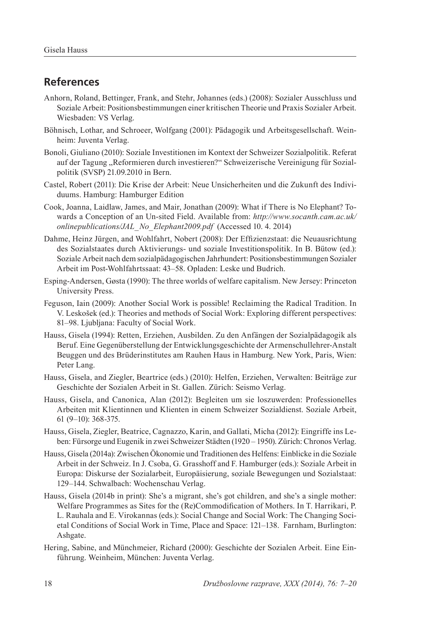## **References**

- Anhorn, Roland, Bettinger, Frank, and Stehr, Johannes (eds.) (2008): Sozialer Ausschluss und Soziale Arbeit: Positionsbestimmungen einer kritischen Theorie und Praxis Sozialer Arbeit. Wiesbaden: VS Verlag.
- Böhnisch, Lothar, and Schroeer, Wolfgang (2001): Pädagogik und Arbeitsgesellschaft. Weinheim: Juventa Verlag.
- Bonoli, Giuliano (2010): Soziale Investitionen im Kontext der Schweizer Sozialpolitik. Referat auf der Tagung "Reformieren durch investieren?" Schweizerische Vereinigung für Sozialpolitik (SVSP) 21.09.2010 in Bern.
- Castel, Robert (2011): Die Krise der Arbeit: Neue Unsicherheiten und die Zukunft des Individuums. Hamburg: Hamburger Edition
- Cook, Joanna, Laidlaw, James, and Mair, Jonathan (2009): What if There is No Elephant? Towards a Conception of an Un-sited Field. Available from: *http://www.socanth.cam.ac.uk/ onlinepublications/JAL\_No\_Elephant2009.pdf* (Accessed 10. 4. 2014)
- Dahme, Heinz Jürgen, and Wohlfahrt, Nobert (2008): Der Effizienzstaat: die Neuausrichtung des Sozialstaates durch Aktivierungs- und soziale Investitionspolitik. In B. Bütow (ed.): Soziale Arbeit nach dem sozialpädagogischen Jahrhundert: Positionsbestimmungen Sozialer Arbeit im Post-Wohlfahrtssaat: 43–58. Opladen: Leske und Budrich.
- Esping-Andersen, Gøsta (1990): The three worlds of welfare capitalism. New Jersey: Princeton University Press.
- Feguson, Iain (2009): Another Social Work is possible! Reclaiming the Radical Tradition. In V. Leskošek (ed.): Theories and methods of Social Work: Exploring different perspectives: 81–98. Ljubljana: Faculty of Social Work.
- Hauss, Gisela (1994): Retten, Erziehen, Ausbilden. Zu den Anfängen der Sozialpädagogik als Beruf. Eine Gegenüberstellung der Entwicklungsgeschichte der Armenschullehrer-Anstalt Beuggen und des Brüderinstitutes am Rauhen Haus in Hamburg. New York, Paris, Wien: Peter Lang.
- Hauss, Gisela, and Ziegler, Beartrice (eds.) (2010): Helfen, Erziehen, Verwalten: Beiträge zur Geschichte der Sozialen Arbeit in St. Gallen. Zürich: Seismo Verlag.
- Hauss, Gisela, and Canonica, Alan (2012): Begleiten um sie loszuwerden: Professionelles Arbeiten mit Klientinnen und Klienten in einem Schweizer Sozialdienst. Soziale Arbeit, 61 (9–10): 368-375.
- Hauss, Gisela, Ziegler, Beatrice, Cagnazzo, Karin, and Gallati, Micha (2012): Eingriffe ins Leben: Fürsorge und Eugenik in zwei Schweizer Städten (1920 – 1950). Zürich: Chronos Verlag.
- Hauss, Gisela (2014a): Zwischen Ökonomie und Traditionen des Helfens: Einblicke in die Soziale Arbeit in der Schweiz. In J. Csoba, G. Grasshoff and F. Hamburger (eds.): Soziale Arbeit in Europa: Diskurse der Sozialarbeit, Europäisierung, soziale Bewegungen und Sozialstaat: 129–144. Schwalbach: Wochenschau Verlag.
- Hauss, Gisela (2014b in print): She's a migrant, she's got children, and she's a single mother: Welfare Programmes as Sites for the (Re)Commodification of Mothers. In T. Harrikari, P. L. Rauhala and E. Virokannas (eds.): Social Change and Social Work: The Changing Societal Conditions of Social Work in Time, Place and Space: 121–138. Farnham, Burlington: Ashgate.
- Hering, Sabine, and Münchmeier, Richard (2000): Geschichte der Sozialen Arbeit. Eine Einführung. Weinheim, München: Juventa Verlag.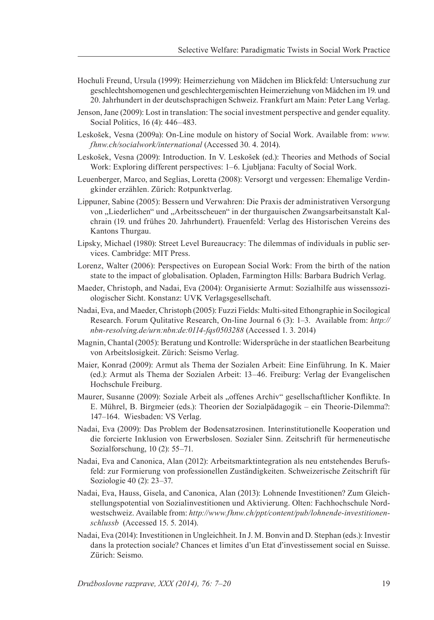- Hochuli Freund, Ursula (1999): Heimerziehung von Mädchen im Blickfeld: Untersuchung zur geschlechtshomogenen und geschlechtergemischten Heimerziehung von Mädchen im 19. und 20. Jahrhundert in der deutschsprachigen Schweiz. Frankfurt am Main: Peter Lang Verlag.
- Jenson, Jane (2009): Lost in translation: The social investment perspective and gender equality. Social Politics, 16 (4): 446–483.
- Leskošek, Vesna (2009a): On-Line module on history of Social Work. Available from: *www. fhnw.ch/socialwork/international* (Accessed 30. 4. 2014).
- Leskošek, Vesna (2009): Introduction. In V. Leskošek (ed.): Theories and Methods of Social Work: Exploring different perspectives: 1–6. Ljubljana: Faculty of Social Work.
- Leuenberger, Marco, and Seglias, Loretta (2008): Versorgt und vergessen: Ehemalige Verdingkinder erzählen. Zürich: Rotpunktverlag.
- Lippuner, Sabine (2005): Bessern und Verwahren: Die Praxis der administrativen Versorgung von "Liederlichen" und "Arbeitsscheuen" in der thurgauischen Zwangsarbeitsanstalt Kalchrain (19. und frühes 20. Jahrhundert). Frauenfeld: Verlag des Historischen Vereins des Kantons Thurgau.
- Lipsky, Michael (1980): Street Level Bureaucracy: The dilemmas of individuals in public services. Cambridge: MIT Press.
- Lorenz, Walter (2006): Perspectives on European Social Work: From the birth of the nation state to the impact of globalisation. Opladen, Farmington Hills: Barbara Budrich Verlag.
- Maeder, Christoph, and Nadai, Eva (2004): Organisierte Armut: Sozialhilfe aus wissenssoziologischer Sicht. Konstanz: UVK Verlagsgesellschaft.
- Nadai, Eva, and Maeder, Christoph (2005): Fuzzi Fields: Multi-sited Ethongraphie in Socilogical Research. Forum Qulitative Research, On-line Journal 6 (3): 1–3. Available from: *http:// nbn-resolving.de/urn:nbn:de:0114-fqs0503288* (Accessed 1. 3. 2014)
- Magnin, Chantal (2005): Beratung und Kontrolle: Widersprüche in der staatlichen Bearbeitung von Arbeitslosigkeit. Zürich: Seismo Verlag.
- Maier, Konrad (2009): Armut als Thema der Sozialen Arbeit: Eine Einführung. In K. Maier (ed.): Armut als Thema der Sozialen Arbeit: 13–46. Freiburg: Verlag der Evangelischen Hochschule Freiburg.
- Maurer, Susanne (2009): Soziale Arbeit als "offenes Archiv" gesellschaftlicher Konflikte. In E. Mührel, B. Birgmeier (eds.): Theorien der Sozialpädagogik – ein Theorie-Dilemma?: 147–164. Wiesbaden: VS Verlag.
- Nadai, Eva (2009): Das Problem der Bodensatzrosinen. Interinstitutionelle Kooperation und die forcierte Inklusion von Erwerbslosen. Sozialer Sinn. Zeitschrift für hermeneutische Sozialforschung, 10 (2): 55–71.
- Nadai, Eva and Canonica, Alan (2012): Arbeitsmarktintegration als neu entstehendes Berufsfeld: zur Formierung von professionellen Zuständigkeiten. Schweizerische Zeitschrift für Soziologie 40 (2): 23–37.
- Nadai, Eva, Hauss, Gisela, and Canonica, Alan (2013): Lohnende Investitionen? Zum Gleichstellungspotential von Sozialinvestitionen und Aktivierung. Olten: Fachhochschule Nordwestschweiz. Available from: *http://www.fhnw.ch/ppt/content/pub/lohnende-investitionenschlussb* (Accessed 15. 5. 2014).
- Nadai, Eva (2014): Investitionen in Ungleichheit. In J. M. Bonvin and D. Stephan (eds.): Investir dans la protection sociale? Chances et limites d'un Etat d'investissement social en Suisse. Zürich: Seismo.